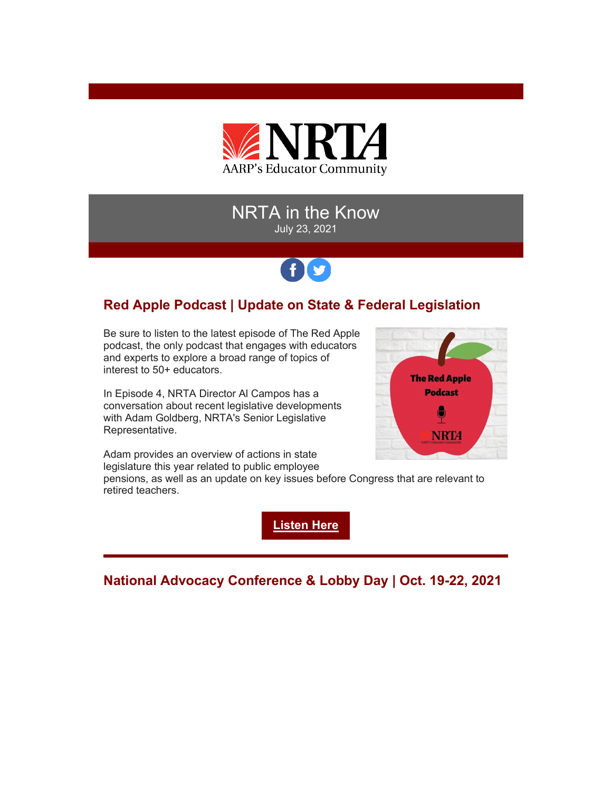

## NRTA in the Know July 23, 2021

# fD

## **Red Apple Podcast | Update on State & Federal Legislation**

Be sure to listen to the latest episode of The Red Apple podcast, the only podcast that engages with educators and experts to explore a broad range of topics of interest to 50+ educators.

In Episode 4, NRTA Director Al Campos has a conversation about recent legislative developments with Adam Goldberg, NRTA's Senior Legislative Representative.



Adam provides an overview of actions in state legislature this year related to public employee

pensions, as well as an update on key issues before Congress that are relevant to retired teachers.

**[Listen Here](https://r20.rs6.net/tn.jsp?f=001j9fJ0zmY4CTJkes9bCgyjxjzjD5vZE7B3g1VuXJUBVi9VZ7I-o_uHFuR8HwmO_9pJDBMAwCCLyEhuPK3-QcKNJdF9tMhff8pulrnrzxEW9kb2exyqweLaCD1J7xrBrNeIeI0KS9DSZkHj_3AlNoyDp7V4G_kZXhS0Ia_Ol5ZWdMMpfp0lTWUZnq2B5mlN2uN4DHhUL4x2VPk9g4fvrbXOSR62lUJpwWpwAaDWORcU4g=&c=yUMDRiQKODeAP_GQH5qAVeDNoZAjXS_-UXOzTj7wF_KqqW-5Xnbe6Q==&ch=-6MWAGqQDVfrbuG2en7Q8Wuzdfnx8lT7FDC1WkwkhbyO0p1GYIe3CA==)**

**National Advocacy Conference & Lobby Day | Oct. 19-22, 2021**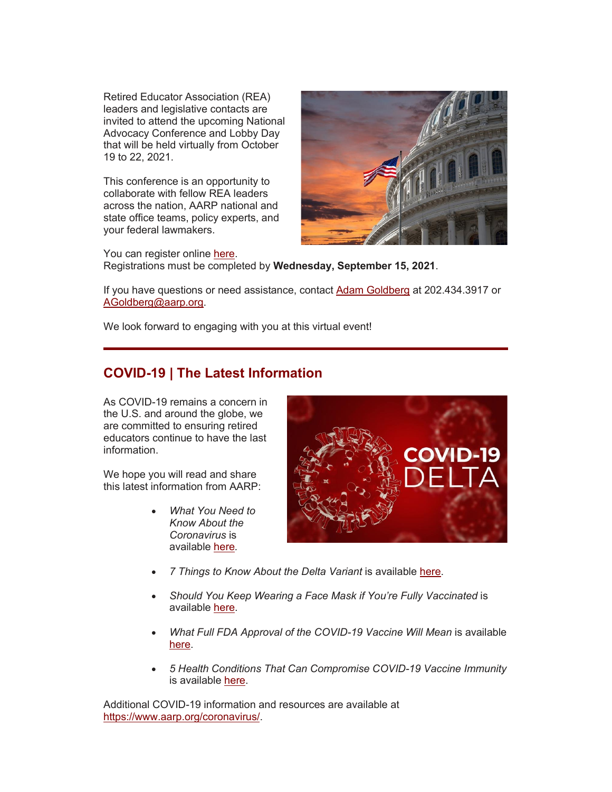Retired Educator Association (REA) leaders and legislative contacts are invited to attend the upcoming National Advocacy Conference and Lobby Day that will be held virtually from October 19 to 22, 2021.

This conference is an opportunity to collaborate with fellow REA leaders across the nation, AARP national and state office teams, policy experts, and your federal lawmakers.



You can register online [here.](https://r20.rs6.net/tn.jsp?f=001j9fJ0zmY4CTJkes9bCgyjxjzjD5vZE7B3g1VuXJUBVi9VZ7I-o_uHFuR8HwmO_9pJe_-Oq89d13ZVM7hiVA1IT_WmrKpsO5KAC-DoIBHwN1puSfVNnME17GZxc39WLdwfA1db3vCqtpPzec5iXxoP7OpNW-XVaeldYC8sklF6_0XVA_E6kXh_2dhcCPUPEmi_MCkuuY_C8mTZe31hL-5jepOHHvYYfrr7Pijgx7i6vgUba9yCGs11HYIlhib7_ZGItG7suU390p-G4QQQBqzmByijDKqt7Nd&c=yUMDRiQKODeAP_GQH5qAVeDNoZAjXS_-UXOzTj7wF_KqqW-5Xnbe6Q==&ch=-6MWAGqQDVfrbuG2en7Q8Wuzdfnx8lT7FDC1WkwkhbyO0p1GYIe3CA==) Registrations must be completed by **Wednesday, September 15, 2021**.

If you have questions or need assistance, contact [Adam Goldberg](mailto:AGoldberg@aarp.org) at 202.434.3917 or [AGoldberg@aarp.org.](mailto:AGoldberg@aarp.org)

We look forward to engaging with you at this virtual event!

### **COVID-19 | The Latest Information**

As COVID-19 remains a concern in the U.S. and around the globe, we are committed to ensuring retired educators continue to have the last information.

We hope you will read and share this latest information from AARP:

> • *What You Need to Know About the Coronavirus* is available [here](https://r20.rs6.net/tn.jsp?f=001j9fJ0zmY4CTJkes9bCgyjxjzjD5vZE7B3g1VuXJUBVi9VZ7I-o_uHFuR8HwmO_9pyr5SXlaVAcsVptqPayRXAzNRqE_GT9mYXej9NZCtF6XOeX9bKy-H74B6wSIDKl6ueU38LnHQCskPkD9jt_dzNeMZSph3yjcx2WklbFcZBrbxmT0obeGDpyS2ekI0JMwPyBHfeKG5oooFFAMQHu6H_Hh4uEUQG4qGkwvneoibrvzUcgN1NLeFN7KiTzs-q9ftUFuQEuWFftCXnULTbTkK7BH9gm7L0q86&c=yUMDRiQKODeAP_GQH5qAVeDNoZAjXS_-UXOzTj7wF_KqqW-5Xnbe6Q==&ch=-6MWAGqQDVfrbuG2en7Q8Wuzdfnx8lT7FDC1WkwkhbyO0p1GYIe3CA==)*.*



- *7 Things to Know About the Delta Variant* is available [here.](https://r20.rs6.net/tn.jsp?f=001j9fJ0zmY4CTJkes9bCgyjxjzjD5vZE7B3g1VuXJUBVi9VZ7I-o_uHFuR8HwmO_9pnhEF5KlWH6D0lUiB8B4orWSvN_Vi3ALjAjHkiJ3z00qr9HoKe_0gtg7owQsNsOtnBkgVpL_WU2IxSlygpbEkww2udgYcg3zo7q_gQ0kaaAXR4Kh9ECEebgX_zBYpj2lhA5Qp3PF6MCvu9hTnsP9AcQyHPXKaHmRxMnPhIYvZ_i-G6UQ4L5anpQ==&c=yUMDRiQKODeAP_GQH5qAVeDNoZAjXS_-UXOzTj7wF_KqqW-5Xnbe6Q==&ch=-6MWAGqQDVfrbuG2en7Q8Wuzdfnx8lT7FDC1WkwkhbyO0p1GYIe3CA==)
- *Should You Keep Wearing a Face Mask if You're Fully Vaccinated* is available [here.](https://r20.rs6.net/tn.jsp?f=001j9fJ0zmY4CTJkes9bCgyjxjzjD5vZE7B3g1VuXJUBVi9VZ7I-o_uHFuR8HwmO_9pDJ8q6kmclFFTXTlIr2n_9w6TcQ6_cRAOSwT3_9JjPb3fOVRZXWH-2hv3ByaOl6AEVYVgLn93L4se6jwX3NnJvfX6eTVG7d_0cMxd9cQjgbXjCFeHSu-qgIn12y64iMXIz-YsQ61KhB_vaYA6fK5qlRQPszH3T8roWmDzKbF9iOM=&c=yUMDRiQKODeAP_GQH5qAVeDNoZAjXS_-UXOzTj7wF_KqqW-5Xnbe6Q==&ch=-6MWAGqQDVfrbuG2en7Q8Wuzdfnx8lT7FDC1WkwkhbyO0p1GYIe3CA==)
- **What Full FDA Approval of the COVID-19 Vaccine Will Mean is available** [here.](https://r20.rs6.net/tn.jsp?f=001j9fJ0zmY4CTJkes9bCgyjxjzjD5vZE7B3g1VuXJUBVi9VZ7I-o_uHFuR8HwmO_9p5RZmFqUD5vRQRtGHnQyMn6hs_DPFtkmiLm7V9hzM8lqVC2kpJ6EOG8RBGKMPcc_-M7_N507QCxEf-mwluw25gDSFNkRF7VpY304N6A8qxslL74XzerxaTasYYovoMIrtivHv2SO0MAWv8O9pXoyyLjMAAvLIlXlcKdapxGgRJFAgdOsJeWdQCA==&c=yUMDRiQKODeAP_GQH5qAVeDNoZAjXS_-UXOzTj7wF_KqqW-5Xnbe6Q==&ch=-6MWAGqQDVfrbuG2en7Q8Wuzdfnx8lT7FDC1WkwkhbyO0p1GYIe3CA==)
- *5 Health Conditions That Can Compromise COVID-19 Vaccine Immunity* is available [here.](https://r20.rs6.net/tn.jsp?f=001j9fJ0zmY4CTJkes9bCgyjxjzjD5vZE7B3g1VuXJUBVi9VZ7I-o_uHFuR8HwmO_9podi15ue82n6eFGdypAOVKR_k6UX8cePJou6UWVt7m_kpi6PQlM5-3ydT4gN76ZyfNNUpLZV-8921lMj4tWQ1CXver4lO9G4HvR7LYz8uOgK3TUKyLz3O7vUuUo-bC5XZBHLsJsYq_iP2ZvSVPFSaklUbon22Abj_V9uoqRmiTj3l-aByGlMLdCIUKF9KAUgv&c=yUMDRiQKODeAP_GQH5qAVeDNoZAjXS_-UXOzTj7wF_KqqW-5Xnbe6Q==&ch=-6MWAGqQDVfrbuG2en7Q8Wuzdfnx8lT7FDC1WkwkhbyO0p1GYIe3CA==)

Additional COVID-19 information and resources are available at [https://www.aarp.org/coronavirus/.](https://r20.rs6.net/tn.jsp?f=001j9fJ0zmY4CTJkes9bCgyjxjzjD5vZE7B3g1VuXJUBVi9VZ7I-o_uHKzOZnweLdu-lWumJ7UAKt_r7ldPeriBvJXpVTUZEFzNtLg7V2pSZPZa9XIDg56WTundTZgl7Qgwa9SJuAQpChQUKu4qq9Qxkhdc3_QV_Yds&c=yUMDRiQKODeAP_GQH5qAVeDNoZAjXS_-UXOzTj7wF_KqqW-5Xnbe6Q==&ch=-6MWAGqQDVfrbuG2en7Q8Wuzdfnx8lT7FDC1WkwkhbyO0p1GYIe3CA==)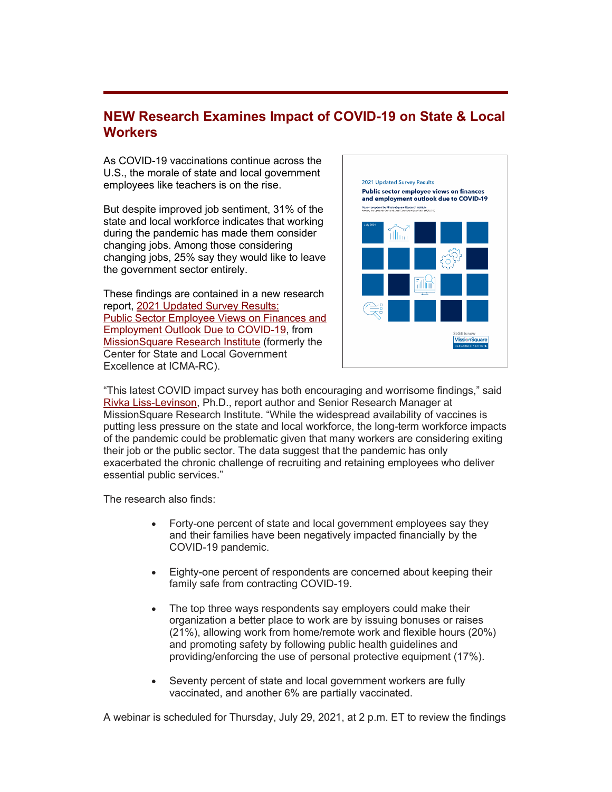#### **NEW Research Examines Impact of COVID-19 on State & Local Workers**

As COVID-19 vaccinations continue across the U.S., the morale of state and local government employees like teachers is on the rise.

But despite improved job sentiment, 31% of the state and local workforce indicates that working during the pandemic has made them consider changing jobs. Among those considering changing jobs, 25% say they would like to leave the government sector entirely.

These findings are contained in a new research report, [2021 Updated Survey Results:](https://r20.rs6.net/tn.jsp?f=001j9fJ0zmY4CTJkes9bCgyjxjzjD5vZE7B3g1VuXJUBVi9VZ7I-o_uHFuR8HwmO_9pG5wZLBc1GNzjTPGnTli4xHtTnbzCEcftriAxBBkfPXTYK1a-lql2QGBPJJHvMpd967cleyGE9imjtUNKNbdGr8v0HeBTleF6FG5YiXtaWYkkkfK5FNutcxhOUZR2xMFPYd_pE9j-30e50pKGOfluEBz7r6faez8g1Sd7q_zQtwrviER8gopTrnRJsZAJk0b0&c=yUMDRiQKODeAP_GQH5qAVeDNoZAjXS_-UXOzTj7wF_KqqW-5Xnbe6Q==&ch=-6MWAGqQDVfrbuG2en7Q8Wuzdfnx8lT7FDC1WkwkhbyO0p1GYIe3CA==) [Public Sector Employee Views on Finances and](https://r20.rs6.net/tn.jsp?f=001j9fJ0zmY4CTJkes9bCgyjxjzjD5vZE7B3g1VuXJUBVi9VZ7I-o_uHFuR8HwmO_9pG5wZLBc1GNzjTPGnTli4xHtTnbzCEcftriAxBBkfPXTYK1a-lql2QGBPJJHvMpd967cleyGE9imjtUNKNbdGr8v0HeBTleF6FG5YiXtaWYkkkfK5FNutcxhOUZR2xMFPYd_pE9j-30e50pKGOfluEBz7r6faez8g1Sd7q_zQtwrviER8gopTrnRJsZAJk0b0&c=yUMDRiQKODeAP_GQH5qAVeDNoZAjXS_-UXOzTj7wF_KqqW-5Xnbe6Q==&ch=-6MWAGqQDVfrbuG2en7Q8Wuzdfnx8lT7FDC1WkwkhbyO0p1GYIe3CA==)  [Employment Outlook Due to COVID-19,](https://r20.rs6.net/tn.jsp?f=001j9fJ0zmY4CTJkes9bCgyjxjzjD5vZE7B3g1VuXJUBVi9VZ7I-o_uHFuR8HwmO_9pG5wZLBc1GNzjTPGnTli4xHtTnbzCEcftriAxBBkfPXTYK1a-lql2QGBPJJHvMpd967cleyGE9imjtUNKNbdGr8v0HeBTleF6FG5YiXtaWYkkkfK5FNutcxhOUZR2xMFPYd_pE9j-30e50pKGOfluEBz7r6faez8g1Sd7q_zQtwrviER8gopTrnRJsZAJk0b0&c=yUMDRiQKODeAP_GQH5qAVeDNoZAjXS_-UXOzTj7wF_KqqW-5Xnbe6Q==&ch=-6MWAGqQDVfrbuG2en7Q8Wuzdfnx8lT7FDC1WkwkhbyO0p1GYIe3CA==) from [MissionSquare Research Institute](https://r20.rs6.net/tn.jsp?f=001j9fJ0zmY4CTJkes9bCgyjxjzjD5vZE7B3g1VuXJUBVi9VZ7I-o_uHI0dv1QzLSAH79jSbQOI4L1Iwo1yloXIBW3kI2wSKzzo0W3mja5Iyj6TwvMggBUpHhFoB7t7P-HBDsbk7X1hhRg=&c=yUMDRiQKODeAP_GQH5qAVeDNoZAjXS_-UXOzTj7wF_KqqW-5Xnbe6Q==&ch=-6MWAGqQDVfrbuG2en7Q8Wuzdfnx8lT7FDC1WkwkhbyO0p1GYIe3CA==) (formerly the Center for State and Local Government Excellence at ICMA-RC).



"This latest COVID impact survey has both encouraging and worrisome findings," said [Rivka Liss-Levinson,](https://r20.rs6.net/tn.jsp?f=001j9fJ0zmY4CTJkes9bCgyjxjzjD5vZE7B3g1VuXJUBVi9VZ7I-o_uHFuR8HwmO_9pNQeWfOheM_ul0bUTJtQQM88OFuJumGUjjmu7uVs1ZNYXt61YA1Zp2A7fEfOamI9dQc8HbqAcMflDd90odCcpmLlRF0uXMYlpfxWcobwNG8FwpC_SBRElaw==&c=yUMDRiQKODeAP_GQH5qAVeDNoZAjXS_-UXOzTj7wF_KqqW-5Xnbe6Q==&ch=-6MWAGqQDVfrbuG2en7Q8Wuzdfnx8lT7FDC1WkwkhbyO0p1GYIe3CA==) Ph.D., report author and Senior Research Manager at MissionSquare Research Institute. "While the widespread availability of vaccines is putting less pressure on the state and local workforce, the long-term workforce impacts of the pandemic could be problematic given that many workers are considering exiting their job or the public sector. The data suggest that the pandemic has only exacerbated the chronic challenge of recruiting and retaining employees who deliver essential public services."

The research also finds:

- Forty-one percent of state and local government employees say they and their families have been negatively impacted financially by the COVID-19 pandemic.
- Eighty-one percent of respondents are concerned about keeping their family safe from contracting COVID-19.
- The top three ways respondents say employers could make their organization a better place to work are by issuing bonuses or raises (21%), allowing work from home/remote work and flexible hours (20%) and promoting safety by following public health guidelines and providing/enforcing the use of personal protective equipment (17%).
- Seventy percent of state and local government workers are fully vaccinated, and another 6% are partially vaccinated.

A webinar is scheduled for Thursday, July 29, 2021, at 2 p.m. ET to review the findings